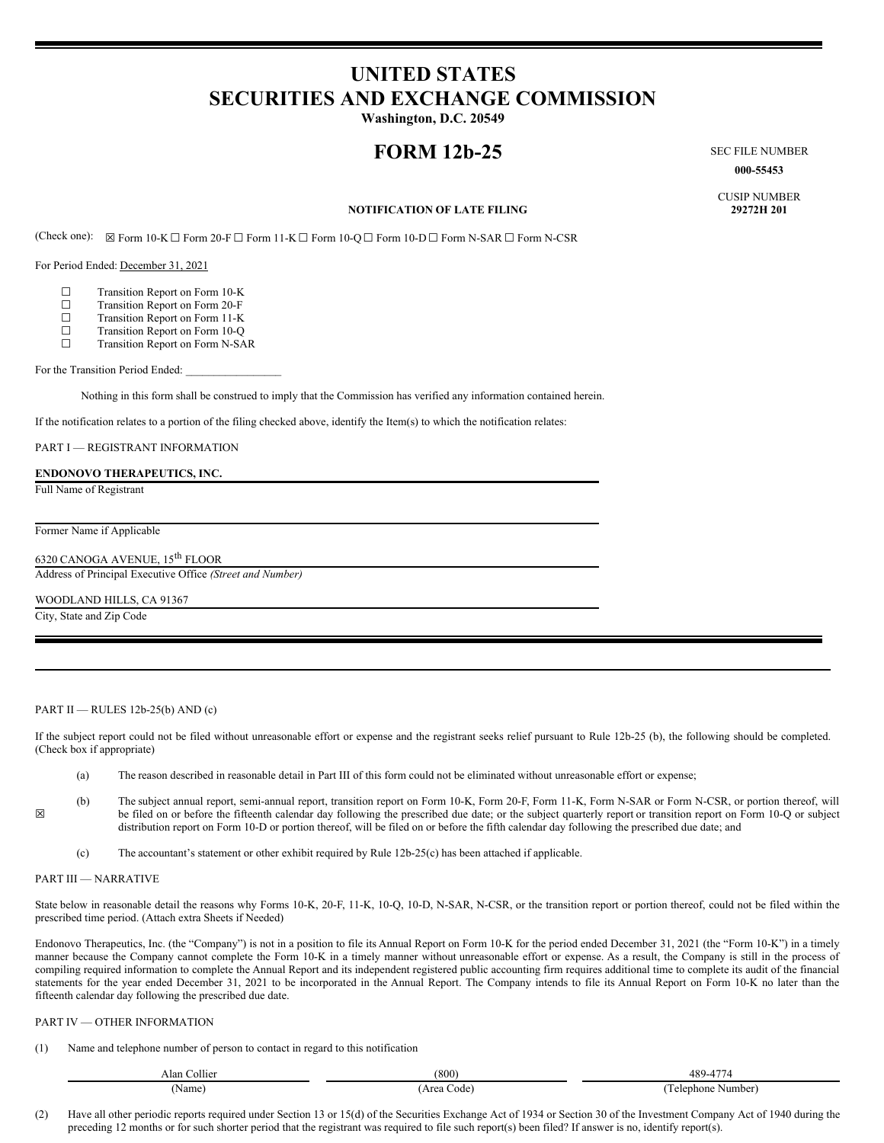# **UNITED STATES SECURITIES AND EXCHANGE COMMISSION**

**Washington, D.C. 20549**

## **FORM 12b-25** SEC FILE NUMBER

**000-55453**

CUSIP NUMBER

### **NOTIFICATION OF LATE FILING**

(Check one): ☒ Form 10-K ☐ Form 20-F ☐ Form 11-K ☐ Form 10-Q ☐ Form 10-D ☐ Form N-SAR ☐ Form N-CSR

For Period Ended: December 31, 2021

- 
- $\Box$  Transition Report on Form 10-K<br> $\Box$  Transition Report on Form 20-F □ Transition Report on Form 20-F<br>□ Transition Report on Form 11-K
- $\Box$  Transition Report on Form 11-K<br>
Transition Report on Form 10-O
- □ Transition Report on Form 10-Q<br>□ Transition Report on Form N-SA
- ☐ Transition Report on Form N-SAR

For the Transition Period Ended:

Nothing in this form shall be construed to imply that the Commission has verified any information contained herein.

If the notification relates to a portion of the filing checked above, identify the Item(s) to which the notification relates:

PART I — REGISTRANT INFORMATION

#### **ENDONOVO THERAPEUTICS, INC.**

Full Name of Registrant

Former Name if Applicable

6320 CANOGA AVENUE, 15<sup>th</sup> FLOOR

Address of Principal Executive Office *(Street and Number)*

WOODLAND HILLS, CA 91367

City, State and Zip Code

PART II — RULES 12b-25(b) AND (c)

If the subject report could not be filed without unreasonable effort or expense and the registrant seeks relief pursuant to Rule 12b-25 (b), the following should be completed. (Check box if appropriate)

- (a) The reason described in reasonable detail in Part III of this form could not be eliminated without unreasonable effort or expense;
- (b) The subject annual report, semi-annual report, transition report on Form 10-K, Form 20-F, Form 11-K, Form N-SAR or Form N-CSR, or portion thereof, will be filed on or before the fifteenth calendar day following the prescribed due date; or the subject quarterly report or transition report on Form 10-Q or subject distribution report on Form 10-D or portion thereof, will be filed on or before the fifth calendar day following the prescribed due date; and
	- (c) The accountant's statement or other exhibit required by Rule 12b-25(c) has been attached if applicable.

#### PART III — NARRATIVE

☒

State below in reasonable detail the reasons why Forms 10-K, 20-F, 11-K, 10-Q, 10-D, N-SAR, N-CSR, or the transition report or portion thereof, could not be filed within the prescribed time period. (Attach extra Sheets if Needed)

Endonovo Therapeutics, Inc. (the "Company") is not in a position to file its Annual Report on Form 10-K for the period ended December 31, 2021 (the "Form 10-K") in a timely manner because the Company cannot complete the Form 10-K in a timely manner without unreasonable effort or expense. As a result, the Company is still in the process of compiling required information to complete the Annual Report and its independent registered public accounting firm requires additional time to complete its audit of the financial statements for the year ended December 31, 2021 to be incorporated in the Annual Report. The Company intends to file its Annual Report on Form 10-K no later than the fifteenth calendar day following the prescribed due date.

#### PART IV — OTHER INFORMATION

(1) Name and telephone number of person to contact in regard to this notification

| Alan<br>Collier | (800)                          | ABC<br>$1 - 1$<br>rv.                  |
|-----------------|--------------------------------|----------------------------------------|
| Name            | Area<br>Code <sup>-</sup><br>. | Number <sub>)</sub><br>elenhone :<br>. |

(2) Have all other periodic reports required under Section 13 or 15(d) of the Securities Exchange Act of 1934 or Section 30 of the Investment Company Act of 1940 during the preceding 12 months or for such shorter period that the registrant was required to file such report(s) been filed? If answer is no, identify report(s).